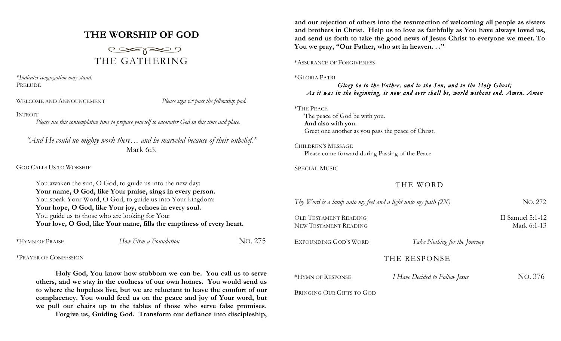# **THE WORSHIP OF GOD**



*\*Indicates congregation may stand.* PRELUDE

WELCOME AND ANNOUNCEMENT *Please sign*  $\breve{c}$  *pass the fellowship pad.* 

### INTROIT

*Please use this contemplative time to prepare yourself to encounter God in this time and place.*

*"And He could no mighty work there… and he marveled because of their unbelief."* Mark 6:5.

GOD CALLS US TO WORSHIP

You awaken the sun, O God, to guide us into the new day: **Your name, O God, like Your praise, sings in every person.** You speak Your Word, O God, to guide us into Your kingdom: **Your hope, O God, like Your joy, echoes in every soul.** You guide us to those who are looking for You: **Your love, O God, like Your name, fills the emptiness of every heart.** 

| No. 275<br>How Firm a Foundation<br>*HYMN OF PRAISE |  |
|-----------------------------------------------------|--|
|-----------------------------------------------------|--|

\*PRAYER OF CONFESSION

**Holy God, You know how stubborn we can be. You call us to serve others, and we stay in the coolness of our own homes. You would send us to where the hopeless live, but we are reluctant to leave the comfort of our complacency. You would feed us on the peace and joy of Your word, but we pull our chairs up to the tables of those who serve false promises. Forgive us, Guiding God. Transform our defiance into discipleship,** 

**and our rejection of others into the resurrection of welcoming all people as sisters and brothers in Christ. Help us to love as faithfully as You have always loved us, and send us forth to take the good news of Jesus Christ to everyone we meet. To You we pray, "Our Father, who art in heaven. . ."**

\*ASSURANCE OF FORGIVENESS

\*GLORIA PATRI

## *Glory be to the Father, and to the Son, and to the Holy Ghost; As it was in the beginning, is now and ever shall be, world without end. Amen. Amen*

#### \*THE PEACE

The peace of God be with you. **And also with you.** Greet one another as you pass the peace of Christ.

CHILDREN'S MESSAGE Please come forward during Passing of the Peace

SPECIAL MUSIC

## THE WORD

| Thy Word is a lamp unto my feet and a light unto my path $(2X)$ |                                | No. 272                           |
|-----------------------------------------------------------------|--------------------------------|-----------------------------------|
| <b>OLD TESTAMENT READING</b><br>NEW TESTAMENT READING           |                                | II Samuel $5:1-12$<br>Mark 6:1-13 |
| EXPOUNDING GOD'S WORD                                           | Take Nothing for the Journey   |                                   |
|                                                                 | THE RESPONSE                   |                                   |
| *HYMN OF RESPONSE                                               | I Have Decided to Follow Jesus | NO. 376                           |

BRINGING OUR GIFTS TO GOD